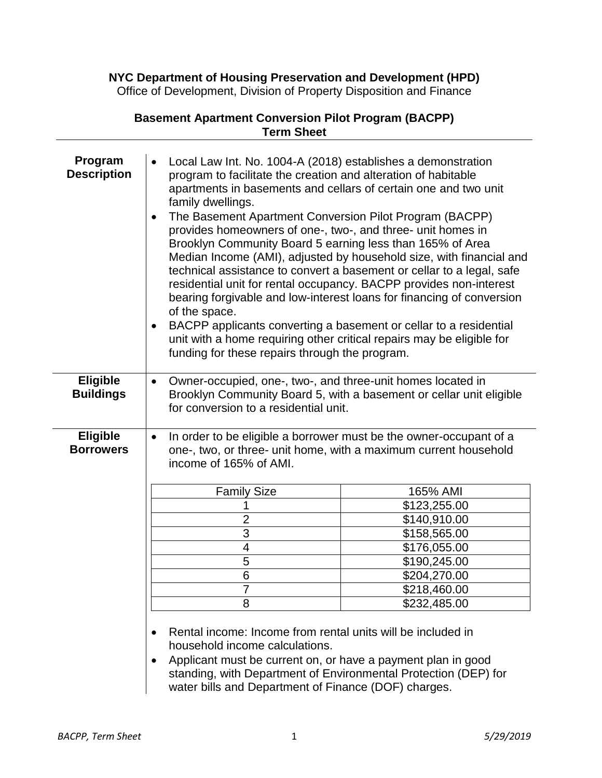**NYC Department of Housing Preservation and Development (HPD)**

Office of Development, Division of Property Disposition and Finance

| Local Law Int. No. 1004-A (2018) establishes a demonstration<br>$\bullet$<br>program to facilitate the creation and alteration of habitable<br>apartments in basements and cellars of certain one and two unit<br>family dwellings.<br>The Basement Apartment Conversion Pilot Program (BACPP)<br>provides homeowners of one-, two-, and three- unit homes in<br>Brooklyn Community Board 5 earning less than 165% of Area<br>Median Income (AMI), adjusted by household size, with financial and<br>technical assistance to convert a basement or cellar to a legal, safe<br>residential unit for rental occupancy. BACPP provides non-interest<br>bearing forgivable and low-interest loans for financing of conversion<br>of the space.<br>BACPP applicants converting a basement or cellar to a residential<br>$\bullet$<br>unit with a home requiring other critical repairs may be eligible for<br>funding for these repairs through the program. |                                                                                                                                                                                                                                                                                    |  |
|---------------------------------------------------------------------------------------------------------------------------------------------------------------------------------------------------------------------------------------------------------------------------------------------------------------------------------------------------------------------------------------------------------------------------------------------------------------------------------------------------------------------------------------------------------------------------------------------------------------------------------------------------------------------------------------------------------------------------------------------------------------------------------------------------------------------------------------------------------------------------------------------------------------------------------------------------------|------------------------------------------------------------------------------------------------------------------------------------------------------------------------------------------------------------------------------------------------------------------------------------|--|
| Owner-occupied, one-, two-, and three-unit homes located in<br>Brooklyn Community Board 5, with a basement or cellar unit eligible<br>for conversion to a residential unit.                                                                                                                                                                                                                                                                                                                                                                                                                                                                                                                                                                                                                                                                                                                                                                             |                                                                                                                                                                                                                                                                                    |  |
| income of 165% of AMI.<br><b>Family Size</b><br>$\overline{2}$<br>3<br>$\overline{\mathbf{4}}$<br>5<br>6<br>7<br>8<br>Rental income: Income from rental units will be included in                                                                                                                                                                                                                                                                                                                                                                                                                                                                                                                                                                                                                                                                                                                                                                       | In order to be eligible a borrower must be the owner-occupant of a<br>one-, two, or three- unit home, with a maximum current household<br>165% AMI<br>\$123,255.00<br>\$140,910.00<br>\$158,565.00<br>\$176,055.00<br>\$190,245.00<br>\$204,270.00<br>\$218,460.00<br>\$232,485.00 |  |
| $\bullet$                                                                                                                                                                                                                                                                                                                                                                                                                                                                                                                                                                                                                                                                                                                                                                                                                                                                                                                                               | household income calculations.                                                                                                                                                                                                                                                     |  |

**Basement Apartment Conversion Pilot Program (BACPP) Term Sheet**

- 
- Applicant must be current on, or have a payment plan in good standing, with Department of Environmental Protection (DEP) for water bills and Department of Finance (DOF) charges.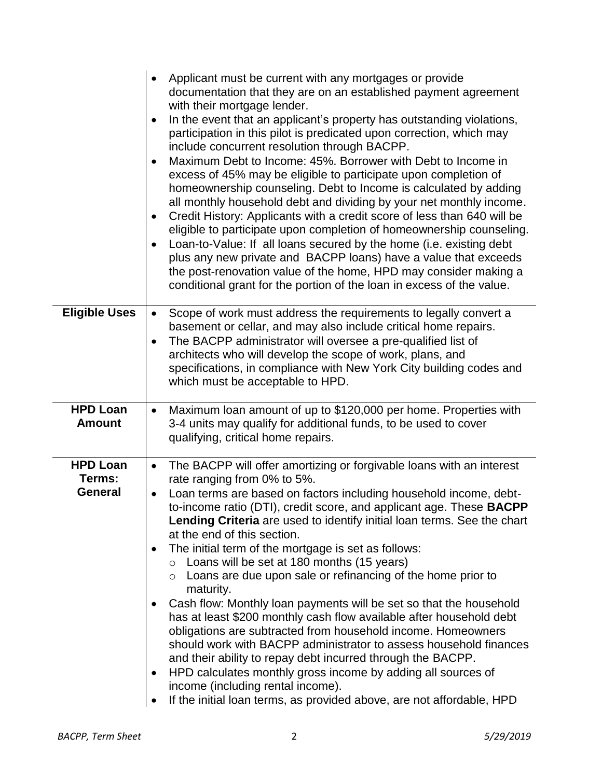|                                  | Applicant must be current with any mortgages or provide<br>$\bullet$<br>documentation that they are on an established payment agreement<br>with their mortgage lender.<br>In the event that an applicant's property has outstanding violations,<br>$\bullet$<br>participation in this pilot is predicated upon correction, which may<br>include concurrent resolution through BACPP.<br>Maximum Debt to Income: 45%. Borrower with Debt to Income in<br>$\bullet$<br>excess of 45% may be eligible to participate upon completion of<br>homeownership counseling. Debt to Income is calculated by adding<br>all monthly household debt and dividing by your net monthly income.<br>Credit History: Applicants with a credit score of less than 640 will be<br>$\bullet$<br>eligible to participate upon completion of homeownership counseling.<br>Loan-to-Value: If all loans secured by the home (i.e. existing debt<br>$\bullet$<br>plus any new private and BACPP loans) have a value that exceeds<br>the post-renovation value of the home, HPD may consider making a<br>conditional grant for the portion of the loan in excess of the value. |
|----------------------------------|-----------------------------------------------------------------------------------------------------------------------------------------------------------------------------------------------------------------------------------------------------------------------------------------------------------------------------------------------------------------------------------------------------------------------------------------------------------------------------------------------------------------------------------------------------------------------------------------------------------------------------------------------------------------------------------------------------------------------------------------------------------------------------------------------------------------------------------------------------------------------------------------------------------------------------------------------------------------------------------------------------------------------------------------------------------------------------------------------------------------------------------------------------|
| <b>Eligible Uses</b>             | Scope of work must address the requirements to legally convert a<br>$\bullet$<br>basement or cellar, and may also include critical home repairs.<br>The BACPP administrator will oversee a pre-qualified list of<br>$\bullet$<br>architects who will develop the scope of work, plans, and                                                                                                                                                                                                                                                                                                                                                                                                                                                                                                                                                                                                                                                                                                                                                                                                                                                          |
|                                  | specifications, in compliance with New York City building codes and<br>which must be acceptable to HPD.                                                                                                                                                                                                                                                                                                                                                                                                                                                                                                                                                                                                                                                                                                                                                                                                                                                                                                                                                                                                                                             |
| <b>HPD Loan</b><br><b>Amount</b> | Maximum loan amount of up to \$120,000 per home. Properties with<br>$\bullet$<br>3-4 units may qualify for additional funds, to be used to cover<br>qualifying, critical home repairs.                                                                                                                                                                                                                                                                                                                                                                                                                                                                                                                                                                                                                                                                                                                                                                                                                                                                                                                                                              |
| <b>HPD Loan</b>                  | The BACPP will offer amortizing or forgivable loans with an interest<br>$\bullet$                                                                                                                                                                                                                                                                                                                                                                                                                                                                                                                                                                                                                                                                                                                                                                                                                                                                                                                                                                                                                                                                   |
| Terms:<br><b>General</b>         | rate ranging from 0% to 5%.<br>Loan terms are based on factors including household income, debt-<br>$\bullet$                                                                                                                                                                                                                                                                                                                                                                                                                                                                                                                                                                                                                                                                                                                                                                                                                                                                                                                                                                                                                                       |
|                                  | to-income ratio (DTI), credit score, and applicant age. These <b>BACPP</b>                                                                                                                                                                                                                                                                                                                                                                                                                                                                                                                                                                                                                                                                                                                                                                                                                                                                                                                                                                                                                                                                          |
|                                  | Lending Criteria are used to identify initial loan terms. See the chart                                                                                                                                                                                                                                                                                                                                                                                                                                                                                                                                                                                                                                                                                                                                                                                                                                                                                                                                                                                                                                                                             |
|                                  | at the end of this section.                                                                                                                                                                                                                                                                                                                                                                                                                                                                                                                                                                                                                                                                                                                                                                                                                                                                                                                                                                                                                                                                                                                         |
|                                  | The initial term of the mortgage is set as follows:<br>$\bullet$<br>Loans will be set at 180 months (15 years)<br>$\circ$                                                                                                                                                                                                                                                                                                                                                                                                                                                                                                                                                                                                                                                                                                                                                                                                                                                                                                                                                                                                                           |
|                                  | Loans are due upon sale or refinancing of the home prior to<br>$\circ$<br>maturity.                                                                                                                                                                                                                                                                                                                                                                                                                                                                                                                                                                                                                                                                                                                                                                                                                                                                                                                                                                                                                                                                 |
|                                  | Cash flow: Monthly loan payments will be set so that the household<br>$\bullet$<br>has at least \$200 monthly cash flow available after household debt<br>obligations are subtracted from household income. Homeowners<br>should work with BACPP administrator to assess household finances<br>and their ability to repay debt incurred through the BACPP.                                                                                                                                                                                                                                                                                                                                                                                                                                                                                                                                                                                                                                                                                                                                                                                          |
|                                  | HPD calculates monthly gross income by adding all sources of<br>$\bullet$<br>income (including rental income).                                                                                                                                                                                                                                                                                                                                                                                                                                                                                                                                                                                                                                                                                                                                                                                                                                                                                                                                                                                                                                      |
|                                  | If the initial loan terms, as provided above, are not affordable, HPD                                                                                                                                                                                                                                                                                                                                                                                                                                                                                                                                                                                                                                                                                                                                                                                                                                                                                                                                                                                                                                                                               |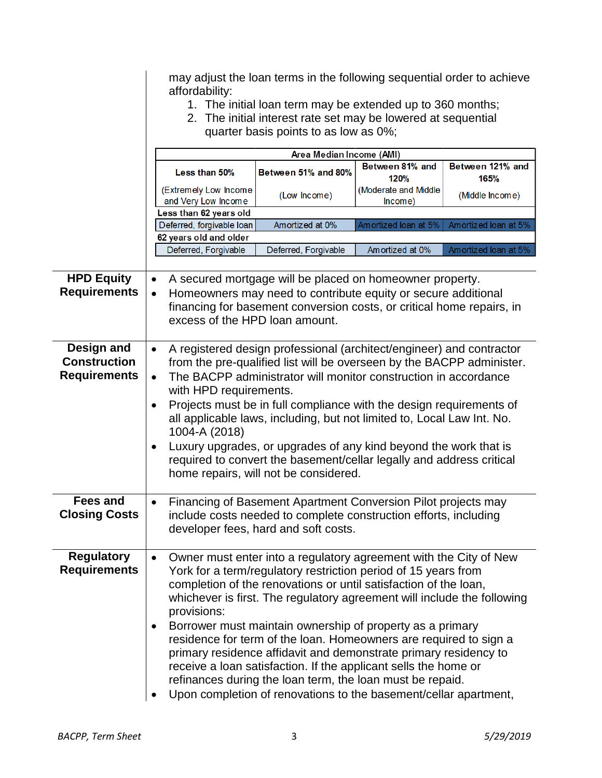|                                                          | may adjust the loan terms in the following sequential order to achieve<br>affordability:<br>1. The initial loan term may be extended up to 360 months;<br>2. The initial interest rate set may be lowered at sequential<br>quarter basis points to as low as 0%;                                                                                                            |                                                                                                                                                                                                                                                                                                                                           |                                 |                      |  |
|----------------------------------------------------------|-----------------------------------------------------------------------------------------------------------------------------------------------------------------------------------------------------------------------------------------------------------------------------------------------------------------------------------------------------------------------------|-------------------------------------------------------------------------------------------------------------------------------------------------------------------------------------------------------------------------------------------------------------------------------------------------------------------------------------------|---------------------------------|----------------------|--|
|                                                          |                                                                                                                                                                                                                                                                                                                                                                             | Area Median Income (AMI)                                                                                                                                                                                                                                                                                                                  | Between 81% and                 | Between 121% and     |  |
|                                                          | Less than 50%                                                                                                                                                                                                                                                                                                                                                               | Between 51% and 80%                                                                                                                                                                                                                                                                                                                       | 120%                            | 165%                 |  |
|                                                          | (Extremely Low Income<br>and Very Low Income                                                                                                                                                                                                                                                                                                                                | (Low Income)                                                                                                                                                                                                                                                                                                                              | (Moderate and Middle<br>Income) | (Middle Income)      |  |
|                                                          | Less than 62 years old                                                                                                                                                                                                                                                                                                                                                      |                                                                                                                                                                                                                                                                                                                                           |                                 |                      |  |
|                                                          | Deferred, forgivable loan                                                                                                                                                                                                                                                                                                                                                   | Amortized at 0%                                                                                                                                                                                                                                                                                                                           | Amortized loan at 5%            | Amortized loan at 5% |  |
|                                                          | 62 years old and older                                                                                                                                                                                                                                                                                                                                                      |                                                                                                                                                                                                                                                                                                                                           |                                 |                      |  |
|                                                          | Deferred, Forgivable                                                                                                                                                                                                                                                                                                                                                        | Deferred, Forgivable                                                                                                                                                                                                                                                                                                                      | Am ortized at 0%                | Amortized loan at 5% |  |
|                                                          |                                                                                                                                                                                                                                                                                                                                                                             |                                                                                                                                                                                                                                                                                                                                           |                                 |                      |  |
| <b>HPD Equity</b>                                        | $\bullet$                                                                                                                                                                                                                                                                                                                                                                   | A secured mortgage will be placed on homeowner property.                                                                                                                                                                                                                                                                                  |                                 |                      |  |
| <b>Requirements</b>                                      | $\bullet$                                                                                                                                                                                                                                                                                                                                                                   | Homeowners may need to contribute equity or secure additional                                                                                                                                                                                                                                                                             |                                 |                      |  |
|                                                          |                                                                                                                                                                                                                                                                                                                                                                             | financing for basement conversion costs, or critical home repairs, in                                                                                                                                                                                                                                                                     |                                 |                      |  |
|                                                          | excess of the HPD loan amount.                                                                                                                                                                                                                                                                                                                                              |                                                                                                                                                                                                                                                                                                                                           |                                 |                      |  |
| Design and<br><b>Construction</b><br><b>Requirements</b> | A registered design professional (architect/engineer) and contractor<br>$\bullet$<br>from the pre-qualified list will be overseen by the BACPP administer.<br>The BACPP administrator will monitor construction in accordance<br>$\bullet$                                                                                                                                  |                                                                                                                                                                                                                                                                                                                                           |                                 |                      |  |
|                                                          | with HPD requirements.<br>Projects must be in full compliance with the design requirements of<br>$\bullet$<br>all applicable laws, including, but not limited to, Local Law Int. No.<br>1004-A (2018)<br>Luxury upgrades, or upgrades of any kind beyond the work that is<br>٠<br>required to convert the basement/cellar legally and address critical                      |                                                                                                                                                                                                                                                                                                                                           |                                 |                      |  |
|                                                          |                                                                                                                                                                                                                                                                                                                                                                             | home repairs, will not be considered.                                                                                                                                                                                                                                                                                                     |                                 |                      |  |
| <b>Fees and</b><br><b>Closing Costs</b>                  | $\bullet$                                                                                                                                                                                                                                                                                                                                                                   | Financing of Basement Apartment Conversion Pilot projects may<br>include costs needed to complete construction efforts, including<br>developer fees, hard and soft costs.                                                                                                                                                                 |                                 |                      |  |
| <b>Regulatory</b><br><b>Requirements</b>                 | Owner must enter into a regulatory agreement with the City of New<br>$\bullet$<br>York for a term/regulatory restriction period of 15 years from<br>completion of the renovations or until satisfaction of the loan,<br>whichever is first. The regulatory agreement will include the following<br>provisions:<br>Borrower must maintain ownership of property as a primary |                                                                                                                                                                                                                                                                                                                                           |                                 |                      |  |
|                                                          | $\bullet$                                                                                                                                                                                                                                                                                                                                                                   | residence for term of the loan. Homeowners are required to sign a<br>primary residence affidavit and demonstrate primary residency to<br>receive a loan satisfaction. If the applicant sells the home or<br>refinances during the loan term, the loan must be repaid.<br>Upon completion of renovations to the basement/cellar apartment, |                                 |                      |  |